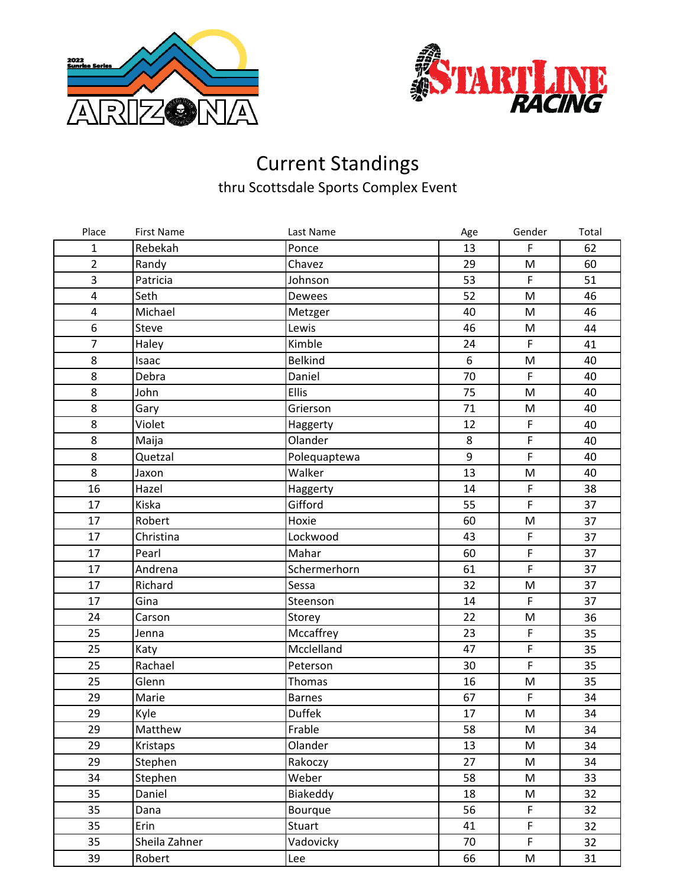



## Current Standings thru Scottsdale Sports Complex Event

| Place                   | <b>First Name</b> | Last Name      | Age | Gender       | Total |
|-------------------------|-------------------|----------------|-----|--------------|-------|
| 1                       | Rebekah           | Ponce          | 13  | $\mathsf F$  | 62    |
| $\overline{2}$          | Randy             | Chavez         | 29  | M            | 60    |
| 3                       | Patricia          | Johnson        | 53  | $\mathsf F$  | 51    |
| $\pmb{4}$               | Seth              | Dewees         | 52  | M            | 46    |
| $\overline{\mathbf{r}}$ | Michael           | Metzger        | 40  | M            | 46    |
| 6                       | Steve             | Lewis          | 46  | M            | 44    |
| $\overline{7}$          | Haley             | Kimble         | 24  | $\mathsf F$  | 41    |
| 8                       | Isaac             | <b>Belkind</b> | 6   | M            | 40    |
| 8                       | Debra             | Daniel         | 70  | $\mathsf{F}$ | 40    |
| 8                       | John              | Ellis          | 75  | M            | 40    |
| 8                       | Gary              | Grierson       | 71  | M            | 40    |
| 8                       | Violet            | Haggerty       | 12  | $\mathsf F$  | 40    |
| 8                       | Maija             | Olander        | 8   | $\mathsf F$  | 40    |
| 8                       | Quetzal           | Polequaptewa   | 9   | $\mathsf{F}$ | 40    |
| 8                       | Jaxon             | Walker         | 13  | M            | 40    |
| 16                      | Hazel             | Haggerty       | 14  | $\mathsf F$  | 38    |
| 17                      | Kiska             | Gifford        | 55  | $\mathsf F$  | 37    |
| 17                      | Robert            | Hoxie          | 60  | M            | 37    |
| 17                      | Christina         | Lockwood       | 43  | $\mathsf F$  | 37    |
| 17                      | Pearl             | Mahar          | 60  | $\mathsf F$  | 37    |
| 17                      | Andrena           | Schermerhorn   | 61  | $\mathsf F$  | 37    |
| 17                      | Richard           | Sessa          | 32  | M            | 37    |
| 17                      | Gina              | Steenson       | 14  | $\mathsf F$  | 37    |
| 24                      | Carson            | Storey         | 22  | ${\sf M}$    | 36    |
| 25                      | Jenna             | Mccaffrey      | 23  | $\mathsf F$  | 35    |
| 25                      | Katy              | Mcclelland     | 47  | $\mathsf F$  | 35    |
| 25                      | Rachael           | Peterson       | 30  | $\mathsf F$  | 35    |
| 25                      | Glenn             | Thomas         | 16  | M            | 35    |
| 29                      | Marie             | <b>Barnes</b>  | 67  | $\mathsf F$  | 34    |
| 29                      | Kyle              | <b>Duffek</b>  | 17  | M            | 34    |
| 29                      | Matthew           | Frable         | 58  | M            | 34    |
| 29                      | Kristaps          | Olander        | 13  | M            | 34    |
| 29                      | Stephen           | Rakoczy        | 27  | M            | 34    |
| 34                      | Stephen           | Weber          | 58  | M            | 33    |
| 35                      | Daniel            | Biakeddy       | 18  | M            | 32    |
| 35                      | Dana              | Bourque        | 56  | $\mathsf F$  | 32    |
| 35                      | Erin              | <b>Stuart</b>  | 41  | F            | 32    |
| 35                      | Sheila Zahner     | Vadovicky      | 70  | $\mathsf F$  | 32    |
| 39                      | Robert            | Lee            | 66  | M            | 31    |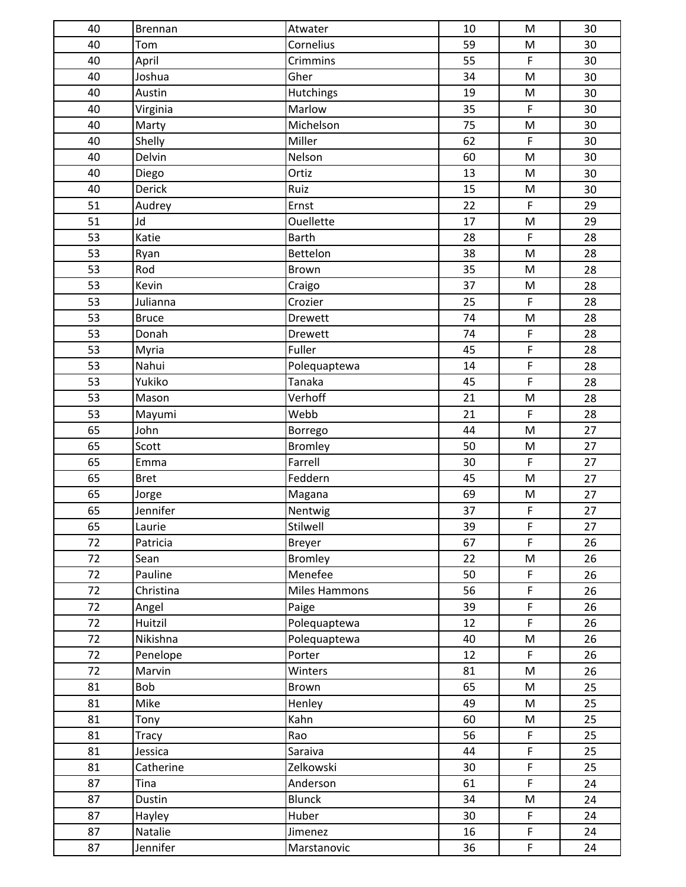| 40 | Brennan      | Atwater              | 10 | M                                                                                     | 30 |
|----|--------------|----------------------|----|---------------------------------------------------------------------------------------|----|
| 40 | Tom          | Cornelius            | 59 | ${\sf M}$                                                                             | 30 |
| 40 | April        | Crimmins             | 55 | $\mathsf F$                                                                           | 30 |
| 40 | Joshua       | Gher                 | 34 | $\mathsf{M}% _{T}=\mathsf{M}_{T}\!\left( a,b\right) ,\ \mathsf{M}_{T}=\mathsf{M}_{T}$ | 30 |
| 40 | Austin       | Hutchings            | 19 | $\mathsf{M}% _{T}=\mathsf{M}_{T}\!\left( a,b\right) ,\ \mathsf{M}_{T}=\mathsf{M}_{T}$ | 30 |
| 40 | Virginia     | Marlow               | 35 | $\mathsf F$                                                                           | 30 |
| 40 | Marty        | Michelson            | 75 | M                                                                                     | 30 |
| 40 | Shelly       | Miller               | 62 | $\mathsf F$                                                                           | 30 |
| 40 | Delvin       | Nelson               | 60 | $\mathsf{M}% _{T}=\mathsf{M}_{T}\!\left( a,b\right) ,\ \mathsf{M}_{T}=\mathsf{M}_{T}$ | 30 |
| 40 | Diego        | Ortiz                | 13 | $\mathsf{M}% _{T}=\mathsf{M}_{T}\!\left( a,b\right) ,\ \mathsf{M}_{T}=\mathsf{M}_{T}$ | 30 |
| 40 | Derick       | Ruiz                 | 15 | M                                                                                     | 30 |
| 51 | Audrey       | Ernst                | 22 | $\mathsf F$                                                                           | 29 |
| 51 | Jd           | <b>Ouellette</b>     | 17 | ${\sf M}$                                                                             | 29 |
| 53 | Katie        | <b>Barth</b>         | 28 | $\mathsf F$                                                                           | 28 |
| 53 | Ryan         | Bettelon             | 38 | $\mathsf{M}% _{T}=\mathsf{M}_{T}\!\left( a,b\right) ,\ \mathsf{M}_{T}=\mathsf{M}_{T}$ | 28 |
| 53 | Rod          | <b>Brown</b>         | 35 | ${\sf M}$                                                                             | 28 |
| 53 | Kevin        | Craigo               | 37 | ${\sf M}$                                                                             | 28 |
| 53 | Julianna     | Crozier              | 25 | $\mathsf F$                                                                           | 28 |
| 53 | <b>Bruce</b> | Drewett              | 74 | M                                                                                     | 28 |
| 53 | Donah        | <b>Drewett</b>       | 74 | $\mathsf F$                                                                           | 28 |
| 53 | Myria        | Fuller               | 45 | F                                                                                     | 28 |
| 53 | Nahui        | Polequaptewa         | 14 | $\mathsf F$                                                                           | 28 |
| 53 | Yukiko       | Tanaka               | 45 | $\mathsf F$                                                                           | 28 |
| 53 | Mason        | Verhoff              | 21 | ${\sf M}$                                                                             | 28 |
| 53 | Mayumi       | Webb                 | 21 | $\mathsf F$                                                                           | 28 |
| 65 | John         | Borrego              | 44 | M                                                                                     | 27 |
| 65 | Scott        | <b>Bromley</b>       | 50 | ${\sf M}$                                                                             | 27 |
| 65 | Emma         | Farrell              | 30 | $\mathsf F$                                                                           | 27 |
| 65 | <b>Bret</b>  | Feddern              | 45 | ${\sf M}$                                                                             | 27 |
| 65 | Jorge        | Magana               | 69 | M                                                                                     | 27 |
| 65 | Jennifer     | Nentwig              | 37 | $\mathsf F$                                                                           | 27 |
| 65 | Laurie       | Stilwell             | 39 | $\mathsf F$                                                                           | 27 |
| 72 | Patricia     | <b>Breyer</b>        | 67 | $\mathsf F$                                                                           | 26 |
| 72 | Sean         | <b>Bromley</b>       | 22 | ${\sf M}$                                                                             | 26 |
| 72 | Pauline      | Menefee              | 50 | F                                                                                     | 26 |
| 72 | Christina    | <b>Miles Hammons</b> | 56 | $\mathsf F$                                                                           | 26 |
| 72 | Angel        | Paige                | 39 | $\mathsf F$                                                                           | 26 |
| 72 | Huitzil      | Polequaptewa         | 12 | $\mathsf F$                                                                           | 26 |
| 72 | Nikishna     | Polequaptewa         | 40 | M                                                                                     | 26 |
| 72 | Penelope     | Porter               | 12 | $\mathsf F$                                                                           | 26 |
| 72 | Marvin       | Winters              | 81 | ${\sf M}$                                                                             | 26 |
| 81 | Bob          | Brown                | 65 | ${\sf M}$                                                                             | 25 |
| 81 | Mike         | Henley               | 49 | M                                                                                     | 25 |
| 81 | Tony         | Kahn                 | 60 | M                                                                                     | 25 |
| 81 | <b>Tracy</b> | Rao                  | 56 | $\mathsf F$                                                                           | 25 |
| 81 | Jessica      | Saraiva              | 44 | $\mathsf F$                                                                           | 25 |
| 81 | Catherine    | Zelkowski            | 30 | $\mathsf F$                                                                           | 25 |
| 87 | Tina         | Anderson             | 61 | $\mathsf F$                                                                           | 24 |
| 87 | Dustin       | <b>Blunck</b>        | 34 | ${\sf M}$                                                                             | 24 |
| 87 | Hayley       | Huber                | 30 | $\mathsf F$                                                                           | 24 |
| 87 | Natalie      | Jimenez              | 16 | $\mathsf F$                                                                           | 24 |
| 87 | Jennifer     | Marstanovic          | 36 | $\mathsf F$                                                                           | 24 |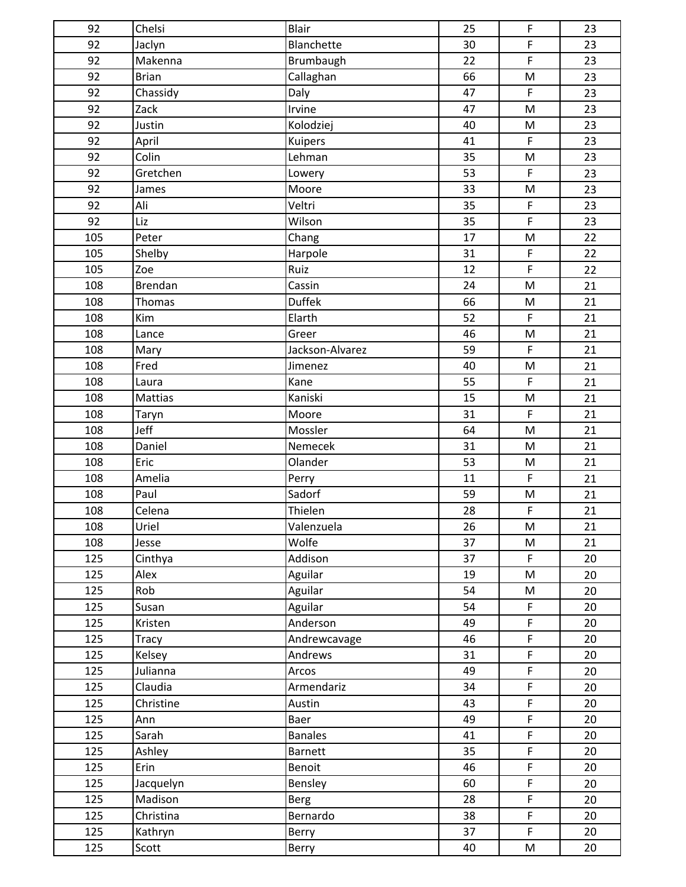| 92  | Chelsi       | Blair           | 25              | F                                                                                     | 23 |
|-----|--------------|-----------------|-----------------|---------------------------------------------------------------------------------------|----|
| 92  | Jaclyn       | Blanchette      | 30              | $\mathsf{F}$                                                                          | 23 |
| 92  | Makenna      | Brumbaugh       | 22              | $\mathsf F$                                                                           | 23 |
| 92  | <b>Brian</b> | Callaghan       | 66              | ${\sf M}$                                                                             | 23 |
| 92  | Chassidy     | Daly            | 47              | $\mathsf F$                                                                           | 23 |
| 92  | Zack         | Irvine          | 47              | $\mathsf{M}% _{T}=\mathsf{M}_{T}\!\left( a,b\right) ,\ \mathsf{M}_{T}=\mathsf{M}_{T}$ | 23 |
| 92  | Justin       | Kolodziej       | 40              | ${\sf M}$                                                                             | 23 |
| 92  | April        | Kuipers         | 41              | $\mathsf F$                                                                           | 23 |
| 92  | Colin        | Lehman          | 35              | $\mathsf{M}% _{T}=\mathsf{M}_{T}\!\left( a,b\right) ,\ \mathsf{M}_{T}=\mathsf{M}_{T}$ | 23 |
| 92  | Gretchen     | Lowery          | 53              | $\mathsf{F}$                                                                          | 23 |
| 92  | James        | Moore           | 33              | M                                                                                     | 23 |
| 92  | Ali          | Veltri          | 35              | $\mathsf F$                                                                           | 23 |
| 92  | Liz          | Wilson          | 35              | $\mathsf F$                                                                           | 23 |
| 105 | Peter        | Chang           | 17              | ${\sf M}$                                                                             | 22 |
| 105 | Shelby       | Harpole         | 31              | $\mathsf F$                                                                           | 22 |
| 105 | Zoe          | Ruiz            | 12              | $\overline{F}$                                                                        | 22 |
| 108 | Brendan      | Cassin          | 24              | $\mathsf{M}% _{T}=\mathsf{M}_{T}\!\left( a,b\right) ,\ \mathsf{M}_{T}=\mathsf{M}_{T}$ | 21 |
| 108 | Thomas       | <b>Duffek</b>   | 66              | $\mathsf{M}% _{T}=\mathsf{M}_{T}\!\left( a,b\right) ,\ \mathsf{M}_{T}=\mathsf{M}_{T}$ | 21 |
| 108 | Kim          | Elarth          | 52              | $\mathsf F$                                                                           | 21 |
| 108 | Lance        | Greer           | 46              | M                                                                                     | 21 |
| 108 | Mary         | Jackson-Alvarez | 59              | $\mathsf F$                                                                           | 21 |
| 108 | Fred         | Jimenez         | 40              | $\mathsf{M}% _{T}=\mathsf{M}_{T}\!\left( a,b\right) ,\ \mathsf{M}_{T}=\mathsf{M}_{T}$ | 21 |
| 108 | Laura        | Kane            | 55              | $\mathsf F$                                                                           | 21 |
| 108 | Mattias      | Kaniski         | 15              | ${\sf M}$                                                                             | 21 |
| 108 | Taryn        | Moore           | 31              | $\mathsf F$                                                                           | 21 |
| 108 | Jeff         | Mossler         | 64              | $\mathsf{M}% _{T}=\mathsf{M}_{T}\!\left( a,b\right) ,\ \mathsf{M}_{T}=\mathsf{M}_{T}$ | 21 |
| 108 | Daniel       | Nemecek         | 31              | $\mathsf{M}% _{T}=\mathsf{M}_{T}\!\left( a,b\right) ,\ \mathsf{M}_{T}=\mathsf{M}_{T}$ | 21 |
| 108 | Eric         | Olander         | 53              | ${\sf M}$                                                                             | 21 |
| 108 | Amelia       | Perry           | 11              | $\mathsf F$                                                                           | 21 |
| 108 | Paul         | Sadorf          | 59              | ${\sf M}$                                                                             | 21 |
| 108 | Celena       | Thielen         | 28              | $\mathsf F$                                                                           | 21 |
| 108 | Uriel        | Valenzuela      | $2\overline{6}$ | ${\sf M}$                                                                             | 21 |
| 108 | Jesse        | Wolfe           | 37              | ${\sf M}$                                                                             | 21 |
| 125 | Cinthya      | Addison         | 37              | $\mathsf F$                                                                           | 20 |
| 125 | Alex         | Aguilar         | 19              | M                                                                                     | 20 |
| 125 | Rob          | Aguilar         | 54              | M                                                                                     | 20 |
| 125 | Susan        | Aguilar         | 54              | $\mathsf F$                                                                           | 20 |
| 125 | Kristen      | Anderson        | 49              | $\mathsf F$                                                                           | 20 |
| 125 | <b>Tracy</b> | Andrewcavage    | 46              | $\mathsf F$                                                                           | 20 |
| 125 | Kelsey       | Andrews         | 31              | $\mathsf F$                                                                           | 20 |
| 125 | Julianna     | Arcos           | 49              | $\mathsf F$                                                                           | 20 |
| 125 | Claudia      | Armendariz      | 34              | $\mathsf F$                                                                           | 20 |
| 125 | Christine    | Austin          | 43              | $\mathsf F$                                                                           | 20 |
| 125 | Ann          | Baer            | 49              | $\mathsf F$                                                                           | 20 |
| 125 | Sarah        | <b>Banales</b>  | 41              | $\mathsf F$                                                                           | 20 |
| 125 | Ashley       | <b>Barnett</b>  | 35              | $\mathsf F$                                                                           | 20 |
| 125 | Erin         | Benoit          | 46              | $\mathsf F$                                                                           | 20 |
| 125 | Jacquelyn    | Bensley         | 60              | $\mathsf F$                                                                           | 20 |
| 125 | Madison      | <b>Berg</b>     | 28              | $\mathsf F$                                                                           | 20 |
| 125 | Christina    | Bernardo        | 38              | $\mathsf F$                                                                           | 20 |
| 125 | Kathryn      | Berry           | 37              | $\mathsf F$                                                                           | 20 |
| 125 | Scott        | Berry           | 40              | M                                                                                     | 20 |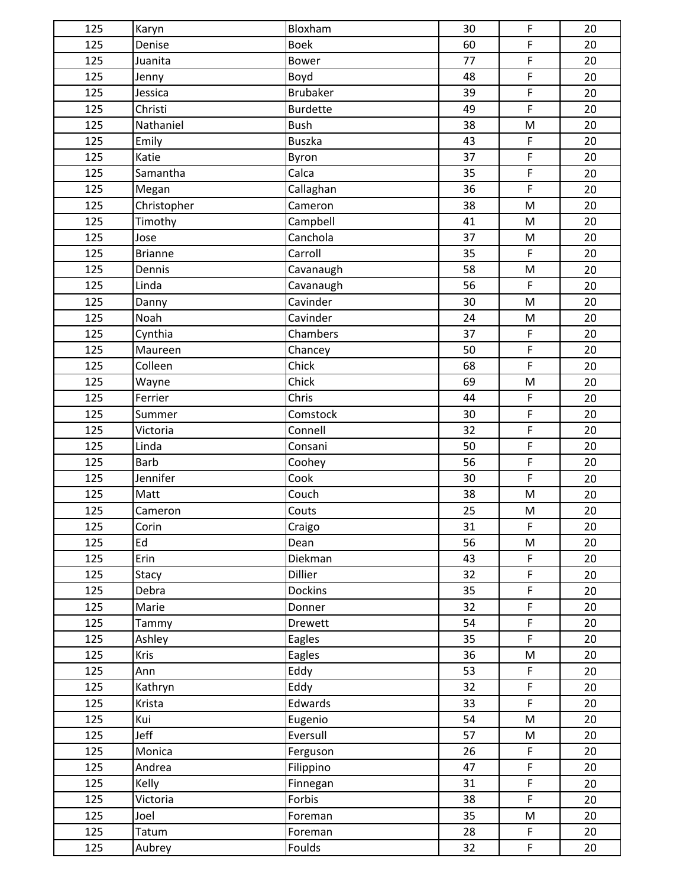| 125 | Karyn          | Bloxham         | 30 | $\mathsf F$    | 20 |
|-----|----------------|-----------------|----|----------------|----|
| 125 | Denise         | <b>Boek</b>     | 60 | F              | 20 |
| 125 | Juanita        | Bower           | 77 | $\mathsf F$    | 20 |
| 125 | Jenny          | Boyd            | 48 | $\mathsf F$    | 20 |
| 125 | Jessica        | Brubaker        | 39 | $\overline{F}$ | 20 |
| 125 | Christi        | <b>Burdette</b> | 49 | $\mathsf F$    | 20 |
| 125 | Nathaniel      | <b>Bush</b>     | 38 | ${\sf M}$      | 20 |
| 125 | Emily          | Buszka          | 43 | $\mathsf F$    | 20 |
| 125 | Katie          | Byron           | 37 | $\mathsf F$    | 20 |
| 125 | Samantha       | Calca           | 35 | $\mathsf F$    | 20 |
| 125 | Megan          | Callaghan       | 36 | $\mathsf F$    | 20 |
| 125 | Christopher    | Cameron         | 38 | ${\sf M}$      | 20 |
| 125 | Timothy        | Campbell        | 41 | M              | 20 |
| 125 | Jose           | Canchola        | 37 | M              | 20 |
| 125 | <b>Brianne</b> | Carroll         | 35 | $\mathsf F$    | 20 |
| 125 | Dennis         | Cavanaugh       | 58 | M              | 20 |
| 125 | Linda          | Cavanaugh       | 56 | $\mathsf F$    | 20 |
| 125 | Danny          | Cavinder        | 30 | ${\sf M}$      | 20 |
| 125 | Noah           | Cavinder        | 24 | ${\sf M}$      | 20 |
| 125 | Cynthia        | Chambers        | 37 | $\mathsf F$    | 20 |
| 125 | Maureen        | Chancey         | 50 | $\mathsf F$    | 20 |
| 125 | Colleen        | Chick           | 68 | $\mathsf F$    | 20 |
| 125 | Wayne          | Chick           | 69 | ${\sf M}$      | 20 |
| 125 | Ferrier        | Chris           | 44 | $\mathsf F$    | 20 |
| 125 | Summer         | Comstock        | 30 | $\mathsf F$    | 20 |
| 125 | Victoria       | Connell         | 32 | $\mathsf F$    | 20 |
| 125 | Linda          | Consani         | 50 | $\mathsf F$    | 20 |
| 125 | <b>Barb</b>    | Coohey          | 56 | $\mathsf F$    | 20 |
| 125 | Jennifer       | Cook            | 30 | $\mathsf F$    | 20 |
| 125 | Matt           | Couch           | 38 | ${\sf M}$      | 20 |
| 125 | Cameron        | Couts           | 25 | M              | 20 |
| 125 | Corin          | Craigo          | 31 | $\mathsf F$    | 20 |
| 125 | Ed             | Dean            | 56 | ${\sf M}$      | 20 |
| 125 | Erin           | Diekman         | 43 | $\mathsf F$    | 20 |
| 125 | Stacy          | Dillier         | 32 | $\mathsf F$    | 20 |
| 125 | Debra          | <b>Dockins</b>  | 35 | $\mathsf F$    | 20 |
| 125 | Marie          | Donner          | 32 | $\mathsf F$    | 20 |
| 125 | Tammy          | <b>Drewett</b>  | 54 | $\mathsf F$    | 20 |
| 125 | Ashley         | Eagles          | 35 | $\mathsf F$    | 20 |
| 125 | <b>Kris</b>    | Eagles          | 36 | ${\sf M}$      | 20 |
| 125 | Ann            | Eddy            | 53 | $\mathsf F$    | 20 |
| 125 | Kathryn        | Eddy            | 32 | $\mathsf F$    | 20 |
| 125 | Krista         | Edwards         | 33 | $\mathsf F$    | 20 |
| 125 | Kui            | Eugenio         | 54 | ${\sf M}$      | 20 |
| 125 | Jeff           | Eversull        | 57 | M              | 20 |
| 125 | Monica         | Ferguson        | 26 | $\mathsf F$    | 20 |
| 125 | Andrea         | Filippino       | 47 | $\mathsf F$    | 20 |
| 125 | Kelly          | Finnegan        | 31 | $\mathsf F$    | 20 |
| 125 | Victoria       | Forbis          | 38 | $\mathsf{F}$   | 20 |
| 125 | Joel           | Foreman         | 35 | ${\sf M}$      | 20 |
| 125 | Tatum          | Foreman         | 28 | $\mathsf F$    | 20 |
| 125 | Aubrey         | Foulds          | 32 | $\mathsf F$    | 20 |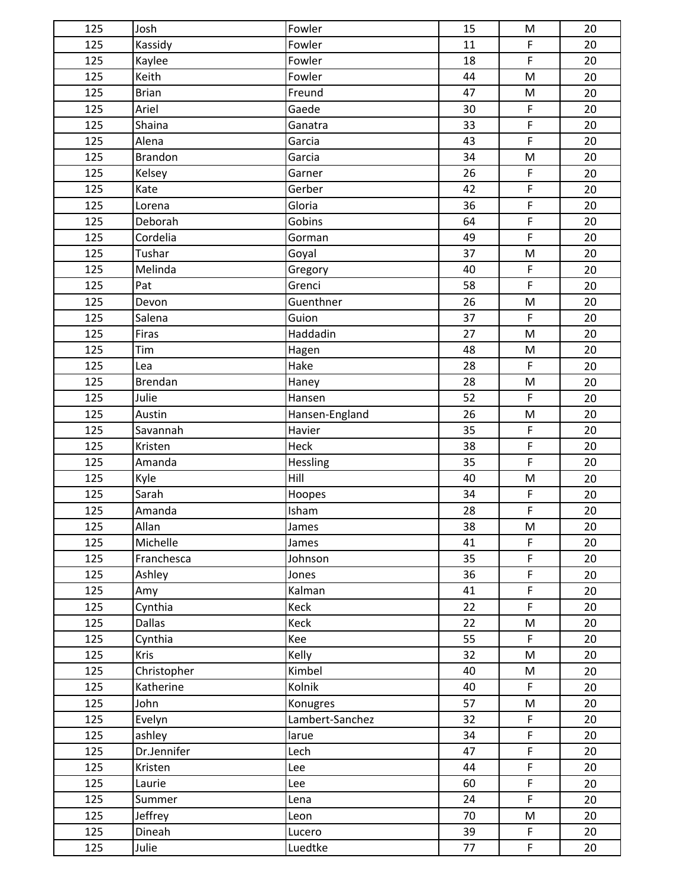| 125             | Josh           | Fowler          | 15 | M                                                                                     | 20 |
|-----------------|----------------|-----------------|----|---------------------------------------------------------------------------------------|----|
| 125             | Kassidy        | Fowler          | 11 | $\mathsf F$                                                                           | 20 |
| 125             | Kaylee         | Fowler          | 18 | $\mathsf F$                                                                           | 20 |
| 125             | Keith          | Fowler          | 44 | M                                                                                     | 20 |
| 125             | Brian          | Freund          | 47 | $\mathsf{M}% _{T}=\mathsf{M}_{T}\!\left( a,b\right) ,\ \mathsf{M}_{T}=\mathsf{M}_{T}$ | 20 |
| 125             | Ariel          | Gaede           | 30 | $\mathsf F$                                                                           | 20 |
| 125             | Shaina         | Ganatra         | 33 | $\mathsf F$                                                                           | 20 |
| 125             | Alena          | Garcia          | 43 | F                                                                                     | 20 |
| 125             | <b>Brandon</b> | Garcia          | 34 | ${\sf M}$                                                                             | 20 |
| 125             | Kelsey         | Garner          | 26 | $\mathsf F$                                                                           | 20 |
| 125             | Kate           | Gerber          | 42 | F                                                                                     | 20 |
| 125             | Lorena         | Gloria          | 36 | $\mathsf F$                                                                           | 20 |
| 125             | Deborah        | Gobins          | 64 | $\mathsf F$                                                                           | 20 |
| 125             | Cordelia       | Gorman          | 49 | $\overline{F}$                                                                        | 20 |
| 125             | Tushar         | Goyal           | 37 | ${\sf M}$                                                                             | 20 |
| 125             | Melinda        | Gregory         | 40 | $\mathsf F$                                                                           | 20 |
| 125             | Pat            | Grenci          | 58 | $\mathsf F$                                                                           | 20 |
| 125             | Devon          | Guenthner       | 26 | ${\sf M}$                                                                             | 20 |
| 125             | Salena         | Guion           | 37 | $\mathsf F$                                                                           | 20 |
| 125             | Firas          | Haddadin        | 27 | ${\sf M}$                                                                             | 20 |
| 125             | Tim            | Hagen           | 48 | ${\sf M}$                                                                             | 20 |
| 125             | Lea            | Hake            | 28 | $\mathsf F$                                                                           | 20 |
| 125             | Brendan        | Haney           | 28 | $\mathsf{M}% _{T}=\mathsf{M}_{T}\!\left( a,b\right) ,\ \mathsf{M}_{T}=\mathsf{M}_{T}$ | 20 |
| 125             | Julie          | Hansen          | 52 | $\mathsf F$                                                                           | 20 |
| 125             | Austin         | Hansen-England  | 26 | ${\sf M}$                                                                             | 20 |
| 125             | Savannah       | Havier          | 35 | $\mathsf F$                                                                           | 20 |
| 125             | Kristen        | Heck            | 38 | $\mathsf F$                                                                           | 20 |
| 125             | Amanda         | Hessling        | 35 | $\mathsf F$                                                                           | 20 |
| 125             | Kyle           | Hill            | 40 | ${\sf M}$                                                                             | 20 |
| 125             | Sarah          | Hoopes          | 34 | $\mathsf F$                                                                           | 20 |
| 125             | Amanda         | Isham           | 28 | $\mathsf F$                                                                           | 20 |
| $\frac{1}{125}$ | Allan          | <b>James</b>    | 38 | M                                                                                     | 20 |
| 125             | Michelle       | James           | 41 | $\mathsf F$                                                                           | 20 |
| 125             | Franchesca     | Johnson         | 35 | F                                                                                     | 20 |
| 125             | Ashley         | Jones           | 36 | $\mathsf F$                                                                           | 20 |
| 125             | Amy            | Kalman          | 41 | $\mathsf F$                                                                           | 20 |
| 125             | Cynthia        | Keck            | 22 | $\mathsf F$                                                                           | 20 |
| 125             | <b>Dallas</b>  | Keck            | 22 | ${\sf M}$                                                                             | 20 |
| 125             | Cynthia        | Kee             | 55 | $\mathsf F$                                                                           | 20 |
| 125             | <b>Kris</b>    | Kelly           | 32 | M                                                                                     | 20 |
| 125             | Christopher    | Kimbel          | 40 | M                                                                                     | 20 |
| 125             | Katherine      | Kolnik          | 40 | $\mathsf F$                                                                           | 20 |
| 125             | John           | Konugres        | 57 | M                                                                                     | 20 |
| 125             | Evelyn         | Lambert-Sanchez | 32 | $\mathsf F$                                                                           | 20 |
| 125             | ashley         | larue           | 34 | $\mathsf F$                                                                           | 20 |
| 125             | Dr.Jennifer    | Lech            | 47 | $\mathsf F$                                                                           | 20 |
| 125             | Kristen        | Lee             | 44 | $\mathsf F$                                                                           | 20 |
| 125             | Laurie         | Lee             | 60 | $\mathsf F$                                                                           | 20 |
| 125             | Summer         | Lena            | 24 | $\mathsf{F}$                                                                          | 20 |
| 125             | Jeffrey        | Leon            | 70 | M                                                                                     | 20 |
| 125             | Dineah         | Lucero          | 39 | $\mathsf F$                                                                           | 20 |
| 125             | Julie          | Luedtke         | 77 | $\mathsf F$                                                                           | 20 |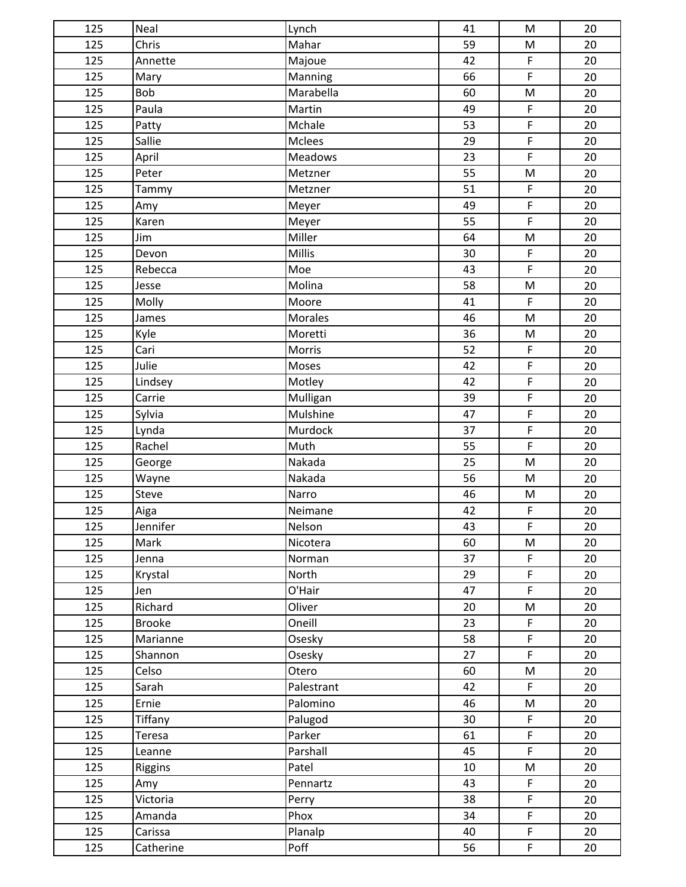| 125 | Neal          | Lynch      | 41 | M                                                                                                          | 20 |
|-----|---------------|------------|----|------------------------------------------------------------------------------------------------------------|----|
| 125 | Chris         | Mahar      | 59 | M                                                                                                          | 20 |
| 125 | Annette       | Majoue     | 42 | $\mathsf F$                                                                                                | 20 |
| 125 | Mary          | Manning    | 66 | $\mathsf F$                                                                                                | 20 |
| 125 | Bob           | Marabella  | 60 | M                                                                                                          | 20 |
| 125 | Paula         | Martin     | 49 | $\mathsf F$                                                                                                | 20 |
| 125 | Patty         | Mchale     | 53 | $\mathsf F$                                                                                                | 20 |
| 125 | Sallie        | Mclees     | 29 | $\mathsf F$                                                                                                | 20 |
| 125 | April         | Meadows    | 23 | $\overline{F}$                                                                                             | 20 |
| 125 | Peter         | Metzner    | 55 | $\mathsf{M}% _{T}=\mathsf{M}_{T}\!\left( a,b\right) ,\ \mathsf{M}_{T}=\mathsf{M}_{T}\!\left( a,b\right) ,$ | 20 |
| 125 | Tammy         | Metzner    | 51 | $\mathsf F$                                                                                                | 20 |
| 125 | Amy           | Meyer      | 49 | $\mathsf F$                                                                                                | 20 |
| 125 | Karen         | Meyer      | 55 | $\mathsf F$                                                                                                | 20 |
| 125 | Jim           | Miller     | 64 | M                                                                                                          | 20 |
| 125 | Devon         | Millis     | 30 | F                                                                                                          | 20 |
| 125 | Rebecca       | Moe        | 43 | $\mathsf F$                                                                                                | 20 |
| 125 | Jesse         | Molina     | 58 | M                                                                                                          | 20 |
| 125 | Molly         | Moore      | 41 | $\mathsf F$                                                                                                | 20 |
| 125 | James         | Morales    | 46 | M                                                                                                          | 20 |
| 125 | Kyle          | Moretti    | 36 | M                                                                                                          | 20 |
| 125 | Cari          | Morris     | 52 | $\mathsf F$                                                                                                | 20 |
| 125 | Julie         | Moses      | 42 | $\mathsf F$                                                                                                | 20 |
| 125 | Lindsey       | Motley     | 42 | $\mathsf F$                                                                                                | 20 |
| 125 | Carrie        | Mulligan   | 39 | $\mathsf F$                                                                                                | 20 |
| 125 | Sylvia        | Mulshine   | 47 | F                                                                                                          | 20 |
| 125 | Lynda         | Murdock    | 37 | $\mathsf F$                                                                                                | 20 |
| 125 | Rachel        | Muth       | 55 | $\mathsf F$                                                                                                | 20 |
| 125 | George        | Nakada     | 25 | $\mathsf{M}% _{T}=\mathsf{M}_{T}\!\left( a,b\right) ,\ \mathsf{M}_{T}=\mathsf{M}_{T}\!\left( a,b\right) ,$ | 20 |
| 125 | Wayne         | Nakada     | 56 | ${\sf M}$                                                                                                  | 20 |
| 125 | Steve         | Narro      | 46 | M                                                                                                          | 20 |
| 125 | Aiga          | Neimane    | 42 | $\mathsf F$                                                                                                | 20 |
| 125 | Jennifer      | Nelson     | 43 | F                                                                                                          | 20 |
| 125 | Mark          | Nicotera   | 60 | M                                                                                                          | 20 |
| 125 | Jenna         | Norman     | 37 | $\mathsf F$                                                                                                | 20 |
| 125 | Krystal       | North      | 29 | $\mathsf F$                                                                                                | 20 |
| 125 | Jen           | O'Hair     | 47 | $\mathsf F$                                                                                                | 20 |
| 125 | Richard       | Oliver     | 20 | M                                                                                                          | 20 |
| 125 | <b>Brooke</b> | Oneill     | 23 | $\mathsf F$                                                                                                | 20 |
| 125 | Marianne      | Osesky     | 58 | $\mathsf F$                                                                                                | 20 |
| 125 | Shannon       | Osesky     | 27 | $\mathsf F$                                                                                                | 20 |
| 125 | Celso         | Otero      | 60 | M                                                                                                          | 20 |
| 125 | Sarah         | Palestrant | 42 | $\mathsf F$                                                                                                | 20 |
| 125 | Ernie         | Palomino   | 46 | M                                                                                                          | 20 |
| 125 | Tiffany       | Palugod    | 30 | F                                                                                                          | 20 |
| 125 | <b>Teresa</b> | Parker     | 61 | $\mathsf F$                                                                                                | 20 |
| 125 | Leanne        | Parshall   | 45 | $\mathsf F$                                                                                                | 20 |
| 125 | Riggins       | Patel      | 10 | M                                                                                                          | 20 |
| 125 | Amy           | Pennartz   | 43 | F                                                                                                          | 20 |
| 125 | Victoria      | Perry      | 38 | $\mathsf F$                                                                                                | 20 |
| 125 | Amanda        | Phox       | 34 | $\mathsf F$                                                                                                | 20 |
| 125 | Carissa       | Planalp    | 40 | F                                                                                                          | 20 |
| 125 | Catherine     | Poff       | 56 | $\mathsf F$                                                                                                | 20 |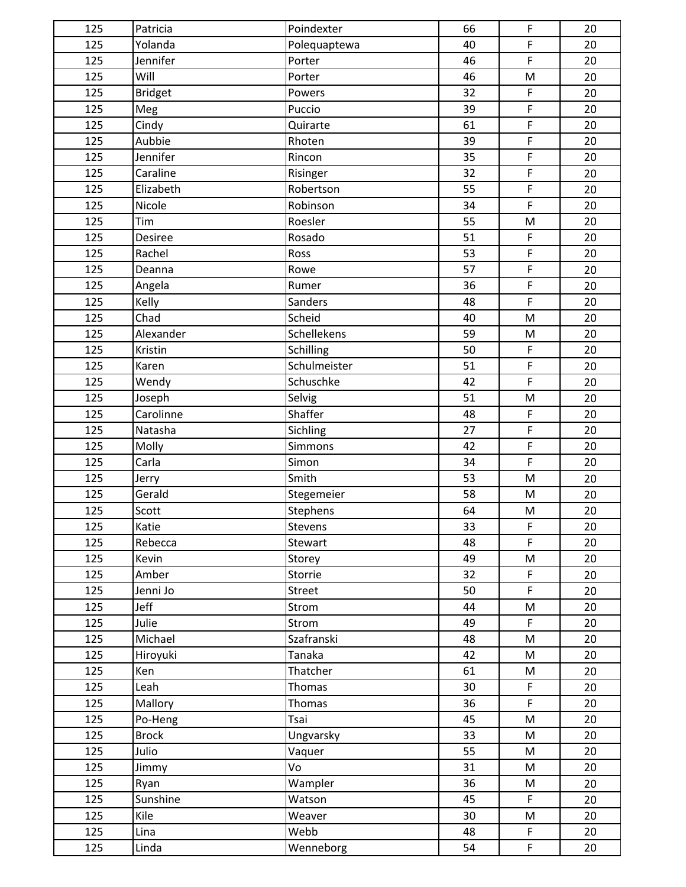| 125 | Patricia       | Poindexter   | 66 | F                                                                                     | 20 |
|-----|----------------|--------------|----|---------------------------------------------------------------------------------------|----|
| 125 | Yolanda        | Polequaptewa | 40 | $\overline{F}$                                                                        | 20 |
| 125 | Jennifer       | Porter       | 46 | $\mathsf F$                                                                           | 20 |
| 125 | Will           | Porter       | 46 | ${\sf M}$                                                                             | 20 |
| 125 | <b>Bridget</b> | Powers       | 32 | $\mathsf F$                                                                           | 20 |
| 125 | Meg            | Puccio       | 39 | $\mathsf F$                                                                           | 20 |
| 125 | Cindy          | Quirarte     | 61 | $\mathsf F$                                                                           | 20 |
| 125 | Aubbie         | Rhoten       | 39 | F                                                                                     | 20 |
| 125 | Jennifer       | Rincon       | 35 | $\mathsf F$                                                                           | 20 |
| 125 | Caraline       | Risinger     | 32 | $\mathsf F$                                                                           | 20 |
| 125 | Elizabeth      | Robertson    | 55 | $\mathsf F$                                                                           | 20 |
| 125 | Nicole         | Robinson     | 34 | $\mathsf F$                                                                           | 20 |
| 125 | Tim            | Roesler      | 55 | M                                                                                     | 20 |
| 125 | Desiree        | Rosado       | 51 | $\mathsf F$                                                                           | 20 |
| 125 | Rachel         | Ross         | 53 | $\mathsf F$                                                                           | 20 |
| 125 | Deanna         | Rowe         | 57 | F                                                                                     | 20 |
| 125 | Angela         | Rumer        | 36 | $\mathsf F$                                                                           | 20 |
| 125 | Kelly          | Sanders      | 48 | $\mathsf F$                                                                           | 20 |
| 125 | Chad           | Scheid       | 40 | $\mathsf{M}% _{T}=\mathsf{M}_{T}\!\left( a,b\right) ,\ \mathsf{M}_{T}=\mathsf{M}_{T}$ | 20 |
| 125 | Alexander      | Schellekens  | 59 | ${\sf M}$                                                                             | 20 |
| 125 | Kristin        | Schilling    | 50 | $\mathsf F$                                                                           | 20 |
| 125 | Karen          | Schulmeister | 51 | $\mathsf F$                                                                           | 20 |
| 125 | Wendy          | Schuschke    | 42 | $\mathsf F$                                                                           | 20 |
| 125 | Joseph         | Selvig       | 51 | ${\sf M}$                                                                             | 20 |
| 125 | Carolinne      | Shaffer      | 48 | $\mathsf F$                                                                           | 20 |
| 125 | Natasha        | Sichling     | 27 | $\mathsf F$                                                                           | 20 |
| 125 | Molly          | Simmons      | 42 | $\overline{F}$                                                                        | 20 |
| 125 | Carla          | Simon        | 34 | $\mathsf F$                                                                           | 20 |
| 125 | Jerry          | Smith        | 53 | M                                                                                     | 20 |
| 125 | Gerald         | Stegemeier   | 58 | M                                                                                     | 20 |
| 125 | Scott          | Stephens     | 64 | M                                                                                     | 20 |
| 125 | Katie          | Stevens      | 33 | $\mathsf F$                                                                           | 20 |
| 125 | Rebecca        | Stewart      | 48 | $\mathsf F$                                                                           | 20 |
| 125 | Kevin          | Storey       | 49 | ${\sf M}$                                                                             | 20 |
| 125 | Amber          | Storrie      | 32 | F                                                                                     | 20 |
| 125 | Jenni Jo       | Street       | 50 | $\mathsf{F}$                                                                          | 20 |
| 125 | Jeff           | Strom        | 44 | M                                                                                     | 20 |
| 125 | Julie          | Strom        | 49 | $\mathsf F$                                                                           | 20 |
| 125 | Michael        | Szafranski   | 48 | M                                                                                     | 20 |
| 125 | Hiroyuki       | Tanaka       | 42 | M                                                                                     | 20 |
| 125 | Ken            | Thatcher     | 61 | M                                                                                     | 20 |
| 125 | Leah           | Thomas       | 30 | $\mathsf F$                                                                           | 20 |
| 125 | Mallory        | Thomas       | 36 | $\mathsf F$                                                                           | 20 |
| 125 | Po-Heng        | Tsai         | 45 | M                                                                                     | 20 |
| 125 | <b>Brock</b>   | Ungvarsky    | 33 | M                                                                                     | 20 |
| 125 | Julio          | Vaquer       | 55 | M                                                                                     | 20 |
| 125 | Jimmy          | Vo           | 31 | M                                                                                     | 20 |
| 125 | Ryan           | Wampler      | 36 | M                                                                                     | 20 |
| 125 | Sunshine       | Watson       | 45 | $\mathsf F$                                                                           | 20 |
| 125 | Kile           | Weaver       | 30 | M                                                                                     | 20 |
| 125 | Lina           | Webb         | 48 | $\mathsf F$                                                                           | 20 |
| 125 | Linda          | Wenneborg    | 54 | $\mathsf F$                                                                           | 20 |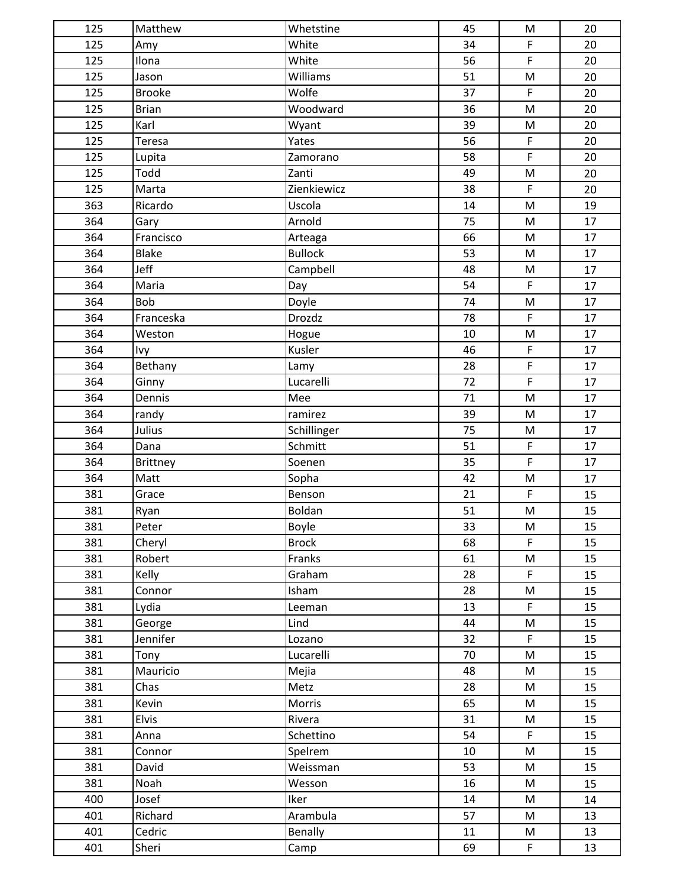| 125 | Matthew       | Whetstine      | 45 | M                                                                                     | 20 |
|-----|---------------|----------------|----|---------------------------------------------------------------------------------------|----|
| 125 | Amy           | White          | 34 | $\mathsf F$                                                                           | 20 |
| 125 | Ilona         | White          | 56 | $\mathsf F$                                                                           | 20 |
| 125 | Jason         | Williams       | 51 | ${\sf M}$                                                                             | 20 |
| 125 | <b>Brooke</b> | Wolfe          | 37 | $\mathsf F$                                                                           | 20 |
| 125 | <b>Brian</b>  | Woodward       | 36 | M                                                                                     | 20 |
| 125 | Karl          | Wyant          | 39 | ${\sf M}$                                                                             | 20 |
| 125 | Teresa        | Yates          | 56 | $\mathsf F$                                                                           | 20 |
| 125 | Lupita        | Zamorano       | 58 | $\mathsf F$                                                                           | 20 |
| 125 | Todd          | Zanti          | 49 | M                                                                                     | 20 |
| 125 | Marta         | Zienkiewicz    | 38 | $\mathsf F$                                                                           | 20 |
| 363 | Ricardo       | Uscola         | 14 | M                                                                                     | 19 |
| 364 | Gary          | Arnold         | 75 | M                                                                                     | 17 |
| 364 | Francisco     | Arteaga        | 66 | ${\sf M}$                                                                             | 17 |
| 364 | Blake         | <b>Bullock</b> | 53 | ${\sf M}$                                                                             | 17 |
| 364 | Jeff          | Campbell       | 48 | ${\sf M}$                                                                             | 17 |
| 364 | Maria         | Day            | 54 | $\mathsf F$                                                                           | 17 |
| 364 | Bob           | Doyle          | 74 | $\mathsf{M}% _{T}=\mathsf{M}_{T}\!\left( a,b\right) ,\ \mathsf{M}_{T}=\mathsf{M}_{T}$ | 17 |
| 364 | Franceska     | Drozdz         | 78 | $\mathsf F$                                                                           | 17 |
| 364 | Weston        | Hogue          | 10 | ${\sf M}$                                                                             | 17 |
| 364 | Ivy           | Kusler         | 46 | $\mathsf F$                                                                           | 17 |
| 364 | Bethany       | Lamy           | 28 | $\mathsf F$                                                                           | 17 |
| 364 | Ginny         | Lucarelli      | 72 | $\mathsf F$                                                                           | 17 |
| 364 | Dennis        | Mee            | 71 | ${\sf M}$                                                                             | 17 |
| 364 | randy         | ramirez        | 39 | ${\sf M}$                                                                             | 17 |
| 364 | Julius        | Schillinger    | 75 | ${\sf M}$                                                                             | 17 |
| 364 | Dana          | Schmitt        | 51 | $\mathsf F$                                                                           | 17 |
| 364 | Brittney      | Soenen         | 35 | $\mathsf F$                                                                           | 17 |
| 364 | Matt          | Sopha          | 42 | ${\sf M}$                                                                             | 17 |
| 381 | Grace         | Benson         | 21 | $\mathsf F$                                                                           | 15 |
| 381 | Ryan          | Boldan         | 51 | ${\sf M}$                                                                             | 15 |
| 381 | Peter         | Boyle          | 33 | ${\sf M}$                                                                             | 15 |
| 381 | Cheryl        | <b>Brock</b>   | 68 | $\mathsf F$                                                                           | 15 |
| 381 | Robert        | Franks         | 61 | ${\sf M}$                                                                             | 15 |
| 381 | Kelly         | Graham         | 28 | $\mathsf F$                                                                           | 15 |
| 381 | Connor        | Isham          | 28 | M                                                                                     | 15 |
| 381 | Lydia         | Leeman         | 13 | $\mathsf F$                                                                           | 15 |
| 381 | George        | Lind           | 44 | M                                                                                     | 15 |
| 381 | Jennifer      | Lozano         | 32 | $\mathsf F$                                                                           | 15 |
| 381 | Tony          | Lucarelli      | 70 | M                                                                                     | 15 |
| 381 | Mauricio      | Mejia          | 48 | M                                                                                     | 15 |
| 381 | Chas          | Metz           | 28 | M                                                                                     | 15 |
| 381 | Kevin         | Morris         | 65 | M                                                                                     | 15 |
| 381 | <b>Elvis</b>  | Rivera         | 31 | M                                                                                     | 15 |
| 381 | Anna          | Schettino      | 54 | $\mathsf F$                                                                           | 15 |
| 381 | Connor        | Spelrem        | 10 | M                                                                                     | 15 |
| 381 | David         | Weissman       | 53 | M                                                                                     | 15 |
| 381 | Noah          | Wesson         | 16 | M                                                                                     | 15 |
| 400 | Josef         | Iker           | 14 | M                                                                                     | 14 |
| 401 | Richard       | Arambula       | 57 | M                                                                                     | 13 |
| 401 | Cedric        | Benally        | 11 | M                                                                                     | 13 |
| 401 | Sheri         | Camp           | 69 | F                                                                                     | 13 |
|     |               |                |    |                                                                                       |    |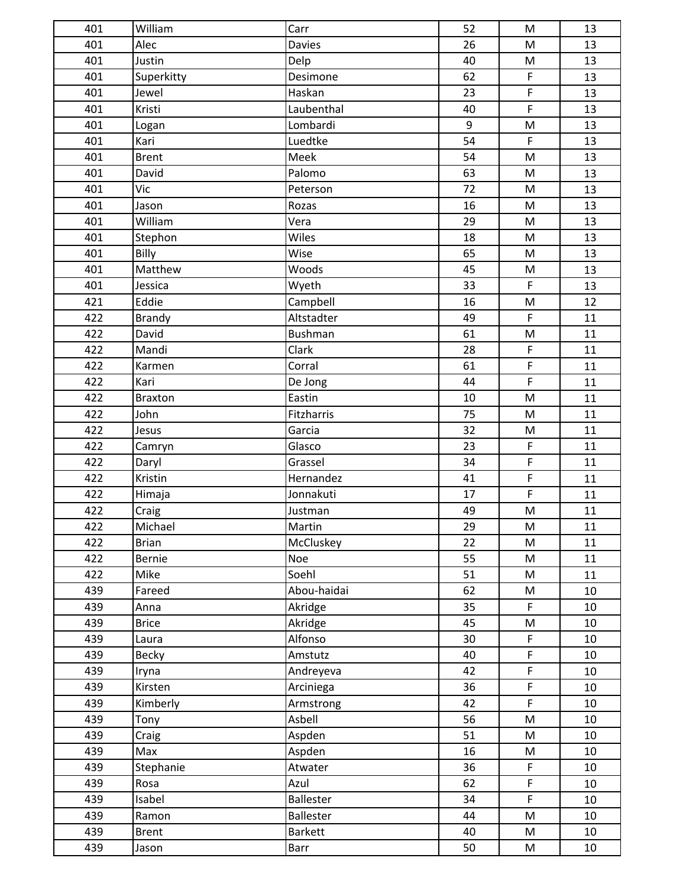| 401 | William        | Carr             | 52 | ${\sf M}$                                                                                                  | 13 |
|-----|----------------|------------------|----|------------------------------------------------------------------------------------------------------------|----|
| 401 | Alec           | <b>Davies</b>    | 26 | ${\sf M}$                                                                                                  | 13 |
| 401 | Justin         | Delp             | 40 | M                                                                                                          | 13 |
| 401 | Superkitty     | Desimone         | 62 | $\mathsf F$                                                                                                | 13 |
| 401 | Jewel          | Haskan           | 23 | $\mathsf F$                                                                                                | 13 |
| 401 | Kristi         | Laubenthal       | 40 | $\mathsf F$                                                                                                | 13 |
| 401 | Logan          | Lombardi         | 9  | ${\sf M}$                                                                                                  | 13 |
| 401 | Kari           | Luedtke          | 54 | $\mathsf F$                                                                                                | 13 |
| 401 | <b>Brent</b>   | Meek             | 54 | ${\sf M}$                                                                                                  | 13 |
| 401 | David          | Palomo           | 63 | $\mathsf{M}% _{T}=\mathsf{M}_{T}\!\left( a,b\right) ,\ \mathsf{M}_{T}=\mathsf{M}_{T}$                      | 13 |
| 401 | Vic            | Peterson         | 72 | ${\sf M}$                                                                                                  | 13 |
| 401 | Jason          | Rozas            | 16 | ${\sf M}$                                                                                                  | 13 |
| 401 | William        | Vera             | 29 | ${\sf M}$                                                                                                  | 13 |
| 401 | Stephon        | Wiles            | 18 | M                                                                                                          | 13 |
| 401 | Billy          | Wise             | 65 | ${\sf M}$                                                                                                  | 13 |
| 401 | Matthew        | Woods            | 45 | ${\sf M}$                                                                                                  | 13 |
| 401 | Jessica        | Wyeth            | 33 | $\mathsf F$                                                                                                | 13 |
| 421 | Eddie          | Campbell         | 16 | $\mathsf{M}% _{T}=\mathsf{M}_{T}\!\left( a,b\right) ,\ \mathsf{M}_{T}=\mathsf{M}_{T}\!\left( a,b\right) ,$ | 12 |
| 422 | <b>Brandy</b>  | Altstadter       | 49 | $\mathsf F$                                                                                                | 11 |
| 422 | David          | <b>Bushman</b>   | 61 | ${\sf M}$                                                                                                  | 11 |
| 422 | Mandi          | Clark            | 28 | $\mathsf F$                                                                                                | 11 |
| 422 | Karmen         | Corral           | 61 | $\mathsf F$                                                                                                | 11 |
| 422 | Kari           | De Jong          | 44 | $\mathsf F$                                                                                                | 11 |
| 422 | <b>Braxton</b> | Eastin           | 10 | ${\sf M}$                                                                                                  | 11 |
| 422 | John           | Fitzharris       | 75 | ${\sf M}$                                                                                                  | 11 |
| 422 | Jesus          | Garcia           | 32 | ${\sf M}$                                                                                                  | 11 |
| 422 | Camryn         | Glasco           | 23 | $\mathsf F$                                                                                                | 11 |
| 422 | Daryl          | Grassel          | 34 | $\mathsf F$                                                                                                | 11 |
| 422 | Kristin        | Hernandez        | 41 | $\mathsf F$                                                                                                | 11 |
| 422 | Himaja         | Jonnakuti        | 17 | $\mathsf F$                                                                                                | 11 |
| 422 | Craig          | Justman          | 49 | M                                                                                                          | 11 |
| 422 | Michael        | Martin           | 29 | ${\sf M}$                                                                                                  | 11 |
| 422 | <b>Brian</b>   | McCluskey        | 22 | ${\sf M}$                                                                                                  | 11 |
| 422 | <b>Bernie</b>  | <b>Noe</b>       | 55 | M                                                                                                          | 11 |
| 422 | Mike           | Soehl            | 51 | M                                                                                                          | 11 |
| 439 | Fareed         | Abou-haidai      | 62 | M                                                                                                          | 10 |
| 439 | Anna           | Akridge          | 35 | $\mathsf F$                                                                                                | 10 |
| 439 | <b>Brice</b>   | Akridge          | 45 | M                                                                                                          | 10 |
| 439 | Laura          | Alfonso          | 30 | F                                                                                                          | 10 |
| 439 | <b>Becky</b>   | Amstutz          | 40 | $\mathsf F$                                                                                                | 10 |
| 439 | Iryna          | Andreyeva        | 42 | $\mathsf F$                                                                                                | 10 |
| 439 | Kirsten        | Arciniega        | 36 | $\mathsf F$                                                                                                | 10 |
| 439 | Kimberly       | Armstrong        | 42 | $\mathsf F$                                                                                                | 10 |
| 439 | Tony           | Asbell           | 56 | ${\sf M}$                                                                                                  | 10 |
| 439 | Craig          | Aspden           | 51 | M                                                                                                          | 10 |
| 439 | Max            | Aspden           | 16 | M                                                                                                          | 10 |
| 439 | Stephanie      | Atwater          | 36 | $\mathsf F$                                                                                                | 10 |
| 439 | Rosa           | Azul             | 62 | $\mathsf F$                                                                                                | 10 |
| 439 | Isabel         | <b>Ballester</b> | 34 | $\mathsf{F}$                                                                                               | 10 |
| 439 | Ramon          | <b>Ballester</b> | 44 | M                                                                                                          | 10 |
| 439 | <b>Brent</b>   | <b>Barkett</b>   | 40 | M                                                                                                          | 10 |
| 439 | Jason          | Barr             | 50 | M                                                                                                          | 10 |
|     |                |                  |    |                                                                                                            |    |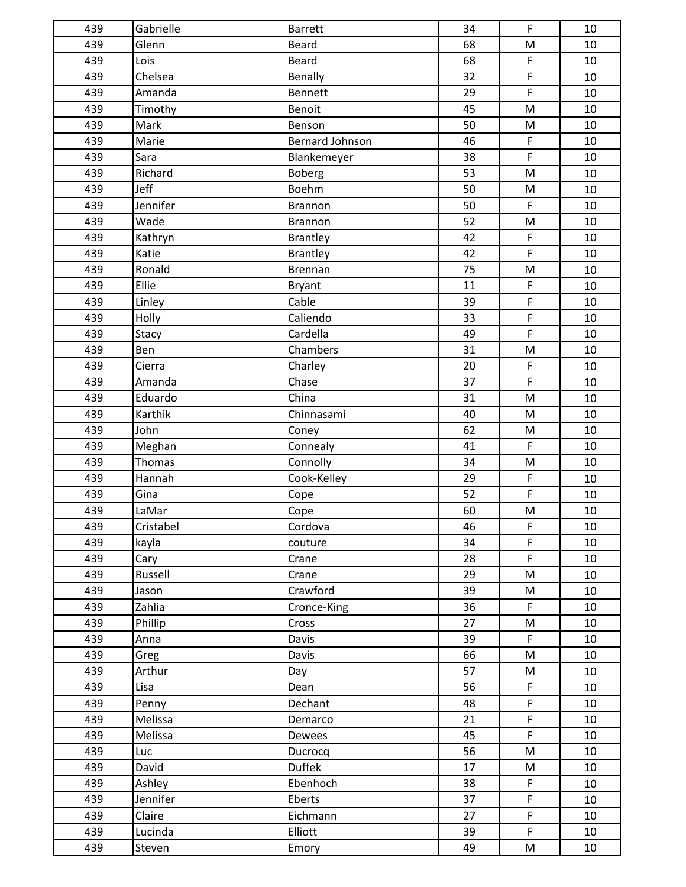| 439 | Gabrielle | <b>Barrett</b>         | 34 | $\mathsf{F}$                                                                                               | 10 |
|-----|-----------|------------------------|----|------------------------------------------------------------------------------------------------------------|----|
| 439 | Glenn     | <b>Beard</b>           | 68 | ${\sf M}$                                                                                                  | 10 |
| 439 | Lois      | <b>Beard</b>           | 68 | $\mathsf F$                                                                                                | 10 |
| 439 | Chelsea   | Benally                | 32 | $\mathsf F$                                                                                                | 10 |
| 439 | Amanda    | Bennett                | 29 | $\overline{F}$                                                                                             | 10 |
| 439 | Timothy   | Benoit                 | 45 | $\mathsf{M}% _{T}=\mathsf{M}_{T}\!\left( a,b\right) ,\ \mathsf{M}_{T}=\mathsf{M}_{T}$                      | 10 |
| 439 | Mark      | Benson                 | 50 | ${\sf M}$                                                                                                  | 10 |
| 439 | Marie     | <b>Bernard Johnson</b> | 46 | $\mathsf F$                                                                                                | 10 |
| 439 | Sara      | Blankemeyer            | 38 | $\mathsf F$                                                                                                | 10 |
| 439 | Richard   | Boberg                 | 53 | $\mathsf{M}% _{T}=\mathsf{M}_{T}\!\left( a,b\right) ,\ \mathsf{M}_{T}=\mathsf{M}_{T}$                      | 10 |
| 439 | Jeff      | Boehm                  | 50 | ${\sf M}$                                                                                                  | 10 |
| 439 | Jennifer  | Brannon                | 50 | $\mathsf F$                                                                                                | 10 |
| 439 | Wade      | <b>Brannon</b>         | 52 | ${\sf M}$                                                                                                  | 10 |
| 439 | Kathryn   | <b>Brantley</b>        | 42 | $\mathsf F$                                                                                                | 10 |
| 439 | Katie     | <b>Brantley</b>        | 42 | $\mathsf F$                                                                                                | 10 |
| 439 | Ronald    | Brennan                | 75 | ${\sf M}$                                                                                                  | 10 |
| 439 | Ellie     | Bryant                 | 11 | $\mathsf F$                                                                                                | 10 |
| 439 | Linley    | Cable                  | 39 | $\mathsf F$                                                                                                | 10 |
| 439 | Holly     | Caliendo               | 33 | $\mathsf F$                                                                                                | 10 |
| 439 | Stacy     | Cardella               | 49 | $\mathsf F$                                                                                                | 10 |
| 439 | Ben       | Chambers               | 31 | M                                                                                                          | 10 |
| 439 | Cierra    | Charley                | 20 | $\mathsf F$                                                                                                | 10 |
| 439 | Amanda    | Chase                  | 37 | $\mathsf{F}$                                                                                               | 10 |
| 439 | Eduardo   | China                  | 31 | ${\sf M}$                                                                                                  | 10 |
| 439 | Karthik   | Chinnasami             | 40 | ${\sf M}$                                                                                                  | 10 |
| 439 | John      | Coney                  | 62 | ${\sf M}$                                                                                                  | 10 |
| 439 | Meghan    | Connealy               | 41 | $\mathsf F$                                                                                                | 10 |
| 439 | Thomas    | Connolly               | 34 | $\mathsf{M}% _{T}=\mathsf{M}_{T}\!\left( a,b\right) ,\ \mathsf{M}_{T}=\mathsf{M}_{T}$                      | 10 |
| 439 | Hannah    | Cook-Kelley            | 29 | $\mathsf F$                                                                                                | 10 |
| 439 | Gina      | Cope                   | 52 | $\mathsf F$                                                                                                | 10 |
| 439 | LaMar     | Cope                   | 60 | M                                                                                                          | 10 |
| 439 | Cristabel | Cordova                | 46 | F                                                                                                          | 10 |
| 439 | kayla     | couture                | 34 | $\mathsf{F}$                                                                                               | 10 |
| 439 | Cary      | Crane                  | 28 | $\mathsf F$                                                                                                | 10 |
| 439 | Russell   | Crane                  | 29 | ${\sf M}$                                                                                                  | 10 |
| 439 | Jason     | Crawford               | 39 | M                                                                                                          | 10 |
| 439 | Zahlia    | Cronce-King            | 36 | $\mathsf F$                                                                                                | 10 |
| 439 | Phillip   | Cross                  | 27 | $\mathsf{M}% _{T}=\mathsf{M}_{T}\!\left( a,b\right) ,\ \mathsf{M}_{T}=\mathsf{M}_{T}\!\left( a,b\right) ,$ | 10 |
| 439 | Anna      | Davis                  | 39 | $\mathsf F$                                                                                                | 10 |
| 439 | Greg      | Davis                  | 66 | M                                                                                                          | 10 |
| 439 | Arthur    | Day                    | 57 | M                                                                                                          | 10 |
| 439 | Lisa      | Dean                   | 56 | $\mathsf F$                                                                                                | 10 |
| 439 | Penny     | Dechant                | 48 | $\mathsf F$                                                                                                | 10 |
| 439 | Melissa   | Demarco                | 21 | $\mathsf{F}$                                                                                               | 10 |
| 439 | Melissa   | Dewees                 | 45 | $\mathsf F$                                                                                                | 10 |
| 439 | Luc       | Ducrocq                | 56 | $\mathsf{M}% _{T}=\mathsf{M}_{T}\!\left( a,b\right) ,\ \mathsf{M}_{T}=\mathsf{M}_{T}\!\left( a,b\right) ,$ | 10 |
| 439 | David     | <b>Duffek</b>          | 17 | M                                                                                                          | 10 |
| 439 | Ashley    | Ebenhoch               | 38 | F                                                                                                          | 10 |
| 439 | Jennifer  | Eberts                 | 37 | $\mathsf F$                                                                                                | 10 |
| 439 | Claire    | Eichmann               | 27 | $\mathsf F$                                                                                                | 10 |
| 439 | Lucinda   | Elliott                | 39 | $\mathsf F$                                                                                                | 10 |
| 439 | Steven    | Emory                  | 49 | M                                                                                                          | 10 |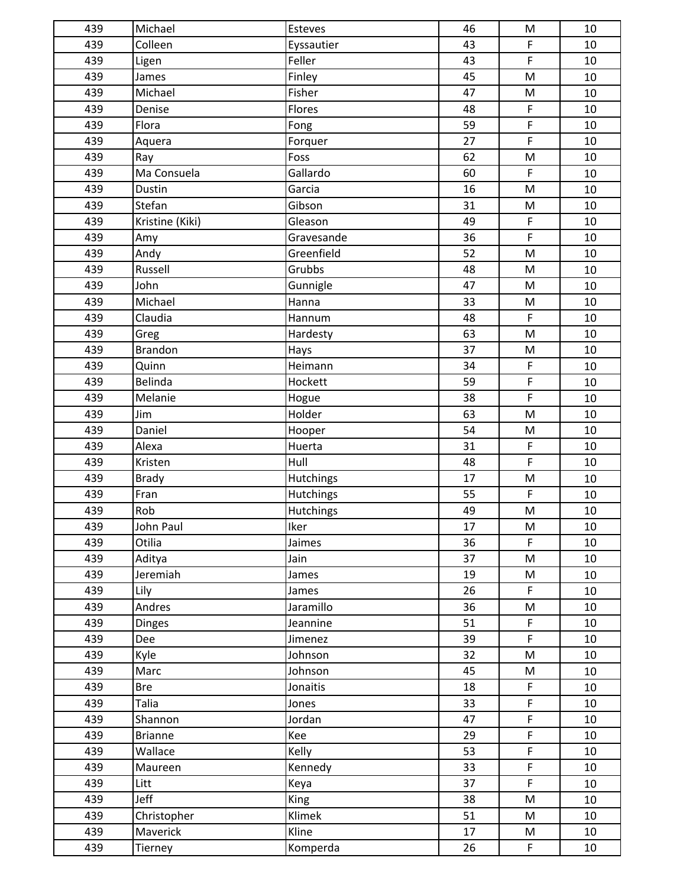| 439 | Michael         | Esteves     | 46 | M                                                                                     | 10     |
|-----|-----------------|-------------|----|---------------------------------------------------------------------------------------|--------|
| 439 | Colleen         | Eyssautier  | 43 | $\mathsf F$                                                                           | 10     |
| 439 | Ligen           | Feller      | 43 | $\mathsf F$                                                                           | 10     |
| 439 | James           | Finley      | 45 | ${\sf M}$                                                                             | 10     |
| 439 | Michael         | Fisher      | 47 | $\mathsf{M}% _{T}=\mathsf{M}_{T}\!\left( a,b\right) ,\ \mathsf{M}_{T}=\mathsf{M}_{T}$ | 10     |
| 439 | Denise          | Flores      | 48 | $\mathsf F$                                                                           | 10     |
| 439 | Flora           | Fong        | 59 | $\mathsf F$                                                                           | 10     |
| 439 | Aquera          | Forquer     | 27 | $\mathsf F$                                                                           | 10     |
| 439 | Ray             | Foss        | 62 | ${\sf M}$                                                                             | 10     |
| 439 | Ma Consuela     | Gallardo    | 60 | $\mathsf F$                                                                           | 10     |
| 439 | Dustin          | Garcia      | 16 | M                                                                                     | 10     |
| 439 | Stefan          | Gibson      | 31 | ${\sf M}$                                                                             | 10     |
| 439 | Kristine (Kiki) | Gleason     | 49 | $\mathsf F$                                                                           | 10     |
| 439 | Amy             | Gravesande  | 36 | $\mathsf F$                                                                           | 10     |
| 439 | Andy            | Greenfield  | 52 | M                                                                                     | 10     |
| 439 | Russell         | Grubbs      | 48 | M                                                                                     | 10     |
| 439 | John            | Gunnigle    | 47 | ${\sf M}$                                                                             | 10     |
| 439 | Michael         | Hanna       | 33 | ${\sf M}$                                                                             | 10     |
| 439 | Claudia         | Hannum      | 48 | $\mathsf F$                                                                           | 10     |
| 439 | Greg            | Hardesty    | 63 | M                                                                                     | 10     |
| 439 | <b>Brandon</b>  | Hays        | 37 | M                                                                                     | 10     |
| 439 | Quinn           | Heimann     | 34 | $\mathsf F$                                                                           | 10     |
| 439 | Belinda         | Hockett     | 59 | $\mathsf F$                                                                           | 10     |
| 439 | Melanie         | Hogue       | 38 | $\mathsf F$                                                                           | 10     |
| 439 | Jim             | Holder      | 63 | M                                                                                     | 10     |
| 439 | Daniel          | Hooper      | 54 | M                                                                                     | 10     |
| 439 | Alexa           | Huerta      | 31 | $\mathsf F$                                                                           | 10     |
| 439 | Kristen         | Hull        | 48 | $\mathsf F$                                                                           | 10     |
| 439 | <b>Brady</b>    | Hutchings   | 17 | M                                                                                     | 10     |
| 439 | Fran            | Hutchings   | 55 | $\mathsf F$                                                                           | 10     |
| 439 | Rob             | Hutchings   | 49 | ${\sf M}$                                                                             | 10     |
| 439 | John Paul       | <b>Iker</b> | 17 | ${\sf M}$                                                                             | $10\,$ |
| 439 | Otilia          | Jaimes      | 36 | $\mathsf F$                                                                           | 10     |
| 439 | Aditya          | Jain        | 37 | ${\sf M}$                                                                             | 10     |
| 439 | Jeremiah        | James       | 19 | M                                                                                     | 10     |
| 439 | Lily            | James       | 26 | $\mathsf F$                                                                           | 10     |
| 439 | Andres          | Jaramillo   | 36 | M                                                                                     | 10     |
| 439 | <b>Dinges</b>   | Jeannine    | 51 | $\mathsf F$                                                                           | 10     |
| 439 | Dee             | Jimenez     | 39 | $\mathsf{F}$                                                                          | 10     |
| 439 | Kyle            | Johnson     | 32 | ${\sf M}$                                                                             | 10     |
| 439 | Marc            | Johnson     | 45 | M                                                                                     | 10     |
| 439 | <b>Bre</b>      | Jonaitis    | 18 | $\mathsf F$                                                                           | 10     |
| 439 | Talia           | Jones       | 33 | $\mathsf F$                                                                           | 10     |
| 439 | Shannon         | Jordan      | 47 | $\mathsf F$                                                                           | 10     |
| 439 | <b>Brianne</b>  | Kee         | 29 | $\mathsf F$                                                                           | 10     |
| 439 | Wallace         | Kelly       | 53 | $\mathsf F$                                                                           | 10     |
| 439 | Maureen         | Kennedy     | 33 | F                                                                                     | 10     |
| 439 | Litt            | Keya        | 37 | $\mathsf F$                                                                           | 10     |
| 439 | Jeff            | <b>King</b> | 38 | ${\sf M}$                                                                             | 10     |
| 439 | Christopher     | Klimek      | 51 | M                                                                                     | 10     |
| 439 | Maverick        | Kline       | 17 | M                                                                                     | 10     |
| 439 | Tierney         | Komperda    | 26 | F                                                                                     | 10     |
|     |                 |             |    |                                                                                       |        |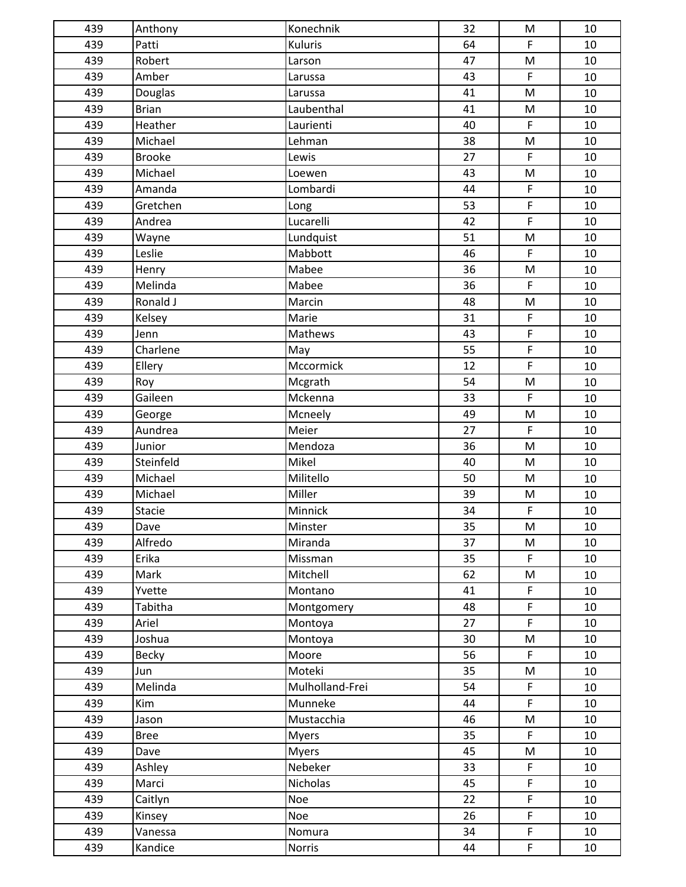| 439 | Anthony       | Konechnik       | 32              | ${\sf M}$                                                                             | 10 |
|-----|---------------|-----------------|-----------------|---------------------------------------------------------------------------------------|----|
| 439 | Patti         | Kuluris         | 64              | $\mathsf F$                                                                           | 10 |
| 439 | Robert        | Larson          | 47              | M                                                                                     | 10 |
| 439 | Amber         | Larussa         | 43              | $\mathsf F$                                                                           | 10 |
| 439 | Douglas       | Larussa         | 41              | M                                                                                     | 10 |
| 439 | <b>Brian</b>  | Laubenthal      | 41              | ${\sf M}$                                                                             | 10 |
| 439 | Heather       | Laurienti       | 40              | $\mathsf F$                                                                           | 10 |
| 439 | Michael       | Lehman          | 38              | ${\sf M}$                                                                             | 10 |
| 439 | <b>Brooke</b> | Lewis           | 27              | $\mathsf F$                                                                           | 10 |
| 439 | Michael       | Loewen          | 43              | ${\sf M}$                                                                             | 10 |
| 439 | Amanda        | Lombardi        | 44              | $\mathsf F$                                                                           | 10 |
| 439 | Gretchen      | Long            | 53              | $\mathsf F$                                                                           | 10 |
| 439 | Andrea        | Lucarelli       | 42              | $\mathsf F$                                                                           | 10 |
| 439 | Wayne         | Lundquist       | 51              | ${\sf M}$                                                                             | 10 |
| 439 | Leslie        | Mabbott         | 46              | $\mathsf{F}$                                                                          | 10 |
| 439 | Henry         | Mabee           | 36              | M                                                                                     | 10 |
| 439 | Melinda       | Mabee           | 36              | $\mathsf F$                                                                           | 10 |
| 439 | Ronald J      | Marcin          | 48              | ${\sf M}$                                                                             | 10 |
| 439 | Kelsey        | Marie           | 31              | $\mathsf F$                                                                           | 10 |
| 439 | Jenn          | Mathews         | 43              | $\mathsf F$                                                                           | 10 |
| 439 | Charlene      | May             | 55              | $\mathsf F$                                                                           | 10 |
| 439 | Ellery        | Mccormick       | 12              | $\mathsf F$                                                                           | 10 |
| 439 | Roy           | Mcgrath         | 54              | $\mathsf{M}% _{T}=\mathsf{M}_{T}\!\left( a,b\right) ,\ \mathsf{M}_{T}=\mathsf{M}_{T}$ | 10 |
| 439 | Gaileen       | Mckenna         | 33              | $\mathsf F$                                                                           | 10 |
| 439 | George        | Mcneely         | 49              | M                                                                                     | 10 |
| 439 | Aundrea       | Meier           | 27              | $\mathsf F$                                                                           | 10 |
| 439 | Junior        | Mendoza         | 36              | ${\sf M}$                                                                             | 10 |
| 439 | Steinfeld     | Mikel           | 40              | ${\sf M}$                                                                             | 10 |
| 439 | Michael       | Militello       | 50              | ${\sf M}$                                                                             | 10 |
| 439 | Michael       | Miller          | 39              | ${\sf M}$                                                                             | 10 |
| 439 | Stacie        | Minnick         | 34              | $\mathsf F$                                                                           | 10 |
| 439 | Dave          | Minster         | $\overline{35}$ | ${\sf M}$                                                                             | 10 |
| 439 | Alfredo       | Miranda         | 37              | ${\sf M}$                                                                             | 10 |
| 439 | Erika         | Missman         | 35              | $\mathsf F$                                                                           | 10 |
| 439 | Mark          | Mitchell        | 62              | ${\sf M}$                                                                             | 10 |
| 439 | Yvette        | Montano         | 41              | $\mathsf F$                                                                           | 10 |
| 439 | Tabitha       | Montgomery      | 48              | $\mathsf F$                                                                           | 10 |
| 439 | Ariel         | Montoya         | 27              | $\mathsf{F}$                                                                          | 10 |
| 439 | Joshua        | Montoya         | 30              | ${\sf M}$                                                                             | 10 |
| 439 | <b>Becky</b>  | Moore           | 56              | $\mathsf{F}$                                                                          | 10 |
| 439 | Jun           | Moteki          | 35              | M                                                                                     | 10 |
| 439 | Melinda       | Mulholland-Frei | 54              | $\mathsf F$                                                                           | 10 |
| 439 | Kim           | Munneke         | 44              | $\mathsf F$                                                                           | 10 |
| 439 | Jason         | Mustacchia      | 46              | ${\sf M}$                                                                             | 10 |
| 439 | <b>Bree</b>   | <b>Myers</b>    | 35              | $\mathsf{F}$                                                                          | 10 |
| 439 | Dave          | <b>Myers</b>    | 45              | M                                                                                     | 10 |
| 439 | Ashley        | Nebeker         | 33              | $\mathsf F$                                                                           | 10 |
| 439 | Marci         | Nicholas        | 45              | $\mathsf F$                                                                           | 10 |
| 439 | Caitlyn       | Noe             | 22              | $\mathsf F$                                                                           | 10 |
| 439 | Kinsey        | <b>Noe</b>      | 26              | $\mathsf F$                                                                           | 10 |
| 439 | Vanessa       | Nomura          | 34              | $\mathsf F$                                                                           | 10 |
| 439 | Kandice       | Norris          | 44              | $\mathsf F$                                                                           | 10 |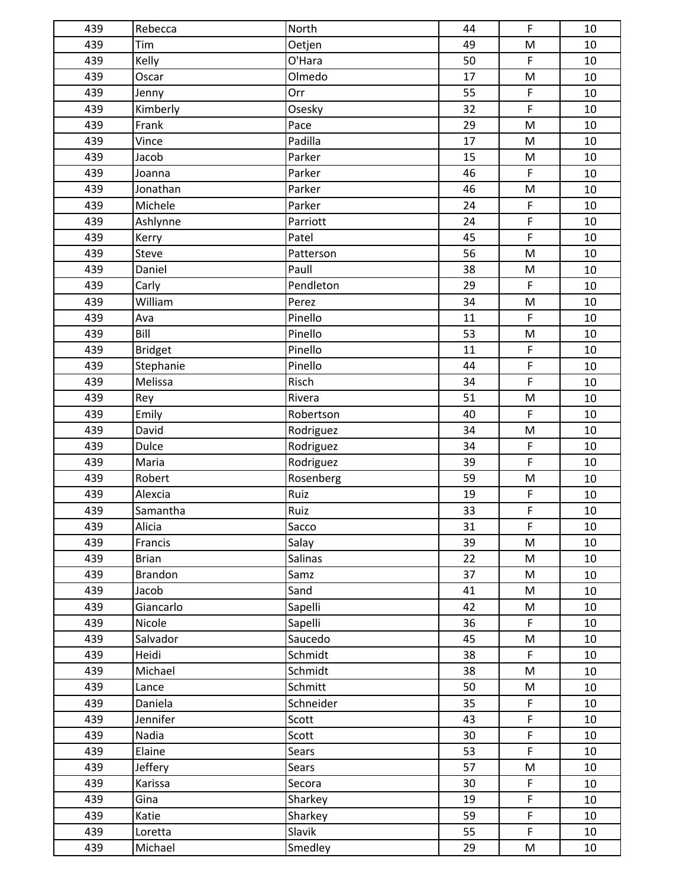| 439 | Rebecca        | North          | 44              | $\mathsf{F}$                                                                                               | 10 |
|-----|----------------|----------------|-----------------|------------------------------------------------------------------------------------------------------------|----|
| 439 | Tim            | Oetjen         | 49              | ${\sf M}$                                                                                                  | 10 |
| 439 | Kelly          | O'Hara         | 50              | $\mathsf F$                                                                                                | 10 |
| 439 | Oscar          | Olmedo         | 17              | M                                                                                                          | 10 |
| 439 | Jenny          | Orr            | 55              | $\mathsf F$                                                                                                | 10 |
| 439 | Kimberly       | Osesky         | 32              | $\mathsf{F}$                                                                                               | 10 |
| 439 | Frank          | Pace           | 29              | ${\sf M}$                                                                                                  | 10 |
| 439 | Vince          | Padilla        | 17              | ${\sf M}$                                                                                                  | 10 |
| 439 | Jacob          | Parker         | 15              | ${\sf M}$                                                                                                  | 10 |
| 439 | Joanna         | Parker         | 46              | $\mathsf{F}$                                                                                               | 10 |
| 439 | Jonathan       | Parker         | 46              | M                                                                                                          | 10 |
| 439 | Michele        | Parker         | 24              | $\mathsf F$                                                                                                | 10 |
| 439 | Ashlynne       | Parriott       | 24              | $\mathsf F$                                                                                                | 10 |
| 439 | Kerry          | Patel          | 45              | $\overline{F}$                                                                                             | 10 |
| 439 | Steve          | Patterson      | 56              | $\mathsf{M}% _{T}=\mathsf{M}_{T}\!\left( a,b\right) ,\ \mathsf{M}_{T}=\mathsf{M}_{T}$                      | 10 |
| 439 | Daniel         | Paull          | 38              | ${\sf M}$                                                                                                  | 10 |
| 439 | Carly          | Pendleton      | 29              | $\mathsf F$                                                                                                | 10 |
| 439 | William        | Perez          | 34              | ${\sf M}$                                                                                                  | 10 |
| 439 | Ava            | Pinello        | 11              | $\mathsf F$                                                                                                | 10 |
| 439 | Bill           | Pinello        | 53              | ${\sf M}$                                                                                                  | 10 |
| 439 | <b>Bridget</b> | Pinello        | 11              | $\mathsf F$                                                                                                | 10 |
| 439 | Stephanie      | Pinello        | 44              | $\mathsf F$                                                                                                | 10 |
| 439 | Melissa        | Risch          | 34              | $\mathsf{F}$                                                                                               | 10 |
| 439 | Rey            | Rivera         | 51              | M                                                                                                          | 10 |
| 439 | Emily          | Robertson      | 40              | $\mathsf F$                                                                                                | 10 |
| 439 | David          | Rodriguez      | 34              | $\mathsf{M}% _{T}=\mathsf{M}_{T}\!\left( a,b\right) ,\ \mathsf{M}_{T}=\mathsf{M}_{T}\!\left( a,b\right) ,$ | 10 |
| 439 | Dulce          | Rodriguez      | 34              | $\mathsf F$                                                                                                | 10 |
| 439 | Maria          | Rodriguez      | 39              | $\mathsf F$                                                                                                | 10 |
| 439 | Robert         | Rosenberg      | 59              | ${\sf M}$                                                                                                  | 10 |
| 439 | Alexcia        | Ruiz           | 19              | $\mathsf F$                                                                                                | 10 |
| 439 | Samantha       | Ruiz           | 33              | F                                                                                                          | 10 |
| 439 | Alicia         | Sacco          | $\overline{31}$ | $\overline{F}$                                                                                             | 10 |
| 439 | Francis        | Salay          | 39              | M                                                                                                          | 10 |
| 439 | <b>Brian</b>   | <b>Salinas</b> | 22              | ${\sf M}$                                                                                                  | 10 |
| 439 | <b>Brandon</b> | Samz           | 37              | M                                                                                                          | 10 |
| 439 | Jacob          | Sand           | 41              | M                                                                                                          | 10 |
| 439 | Giancarlo      | Sapelli        | 42              | M                                                                                                          | 10 |
| 439 | Nicole         | Sapelli        | 36              | F                                                                                                          | 10 |
| 439 | Salvador       | Saucedo        | 45              | ${\sf M}$                                                                                                  | 10 |
| 439 | Heidi          | Schmidt        | 38              | F                                                                                                          | 10 |
| 439 | Michael        | Schmidt        | 38              | M                                                                                                          | 10 |
| 439 | Lance          | Schmitt        | 50              | M                                                                                                          | 10 |
| 439 | Daniela        | Schneider      | 35              | F                                                                                                          | 10 |
| 439 | Jennifer       | Scott          | 43              | $\mathsf{F}$                                                                                               | 10 |
| 439 | Nadia          | Scott          | 30              | $\mathsf F$                                                                                                | 10 |
| 439 | Elaine         | Sears          | 53              | $\mathsf{F}$                                                                                               | 10 |
| 439 | Jeffery        | Sears          | 57              | M                                                                                                          | 10 |
| 439 | Karissa        | Secora         | 30              | F                                                                                                          | 10 |
| 439 | Gina           | Sharkey        | 19              | F                                                                                                          | 10 |
| 439 | Katie          | Sharkey        | 59              | $\mathsf F$                                                                                                | 10 |
| 439 | Loretta        | Slavik         | 55              | $\mathsf F$                                                                                                | 10 |
| 439 | Michael        | Smedley        | 29              | M                                                                                                          | 10 |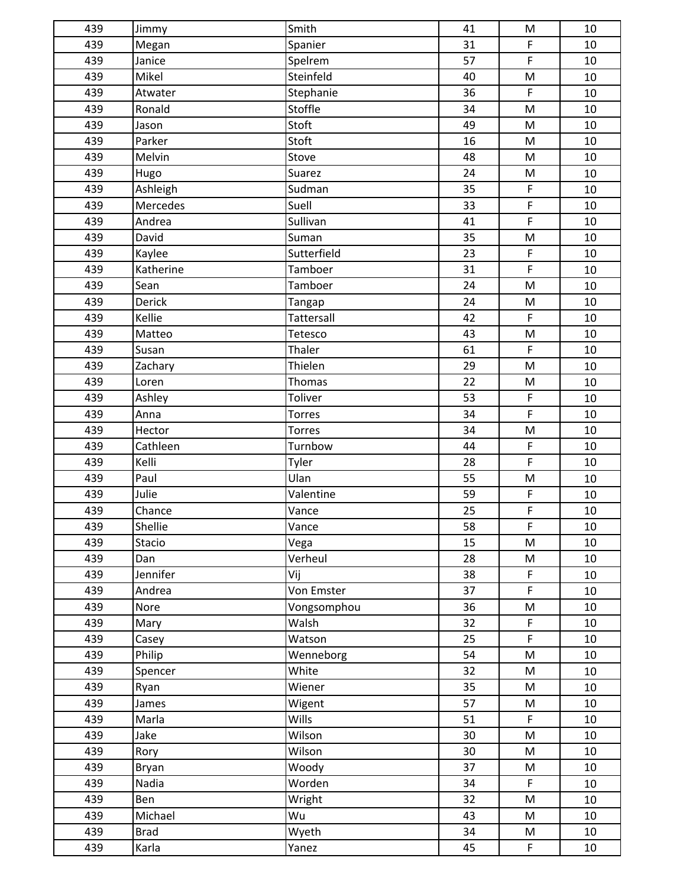| 439 | Jimmy       | Smith         | 41 | ${\sf M}$                                                                             | 10 |
|-----|-------------|---------------|----|---------------------------------------------------------------------------------------|----|
| 439 | Megan       | Spanier       | 31 | $\mathsf F$                                                                           | 10 |
| 439 | Janice      | Spelrem       | 57 | $\mathsf F$                                                                           | 10 |
| 439 | Mikel       | Steinfeld     | 40 | M                                                                                     | 10 |
| 439 | Atwater     | Stephanie     | 36 | $\mathsf{F}$                                                                          | 10 |
| 439 | Ronald      | Stoffle       | 34 | $\mathsf{M}% _{T}=\mathsf{M}_{T}\!\left( a,b\right) ,\ \mathsf{M}_{T}=\mathsf{M}_{T}$ | 10 |
| 439 | Jason       | Stoft         | 49 | ${\sf M}$                                                                             | 10 |
| 439 | Parker      | Stoft         | 16 | M                                                                                     | 10 |
| 439 | Melvin      | Stove         | 48 | ${\sf M}$                                                                             | 10 |
| 439 | Hugo        | Suarez        | 24 | ${\sf M}$                                                                             | 10 |
| 439 | Ashleigh    | Sudman        | 35 | $\mathsf F$                                                                           | 10 |
| 439 | Mercedes    | Suell         | 33 | $\mathsf F$                                                                           | 10 |
| 439 | Andrea      | Sullivan      | 41 | $\mathsf F$                                                                           | 10 |
| 439 | David       | Suman         | 35 | ${\sf M}$                                                                             | 10 |
| 439 | Kaylee      | Sutterfield   | 23 | $\mathsf F$                                                                           | 10 |
| 439 | Katherine   | Tamboer       | 31 | $\mathsf F$                                                                           | 10 |
| 439 | Sean        | Tamboer       | 24 | $\mathsf{M}% _{T}=\mathsf{M}_{T}\!\left( a,b\right) ,\ \mathsf{M}_{T}=\mathsf{M}_{T}$ | 10 |
| 439 | Derick      | Tangap        | 24 | ${\sf M}$                                                                             | 10 |
| 439 | Kellie      | Tattersall    | 42 | $\mathsf F$                                                                           | 10 |
| 439 | Matteo      | Tetesco       | 43 | ${\sf M}$                                                                             | 10 |
| 439 | Susan       | Thaler        | 61 | $\mathsf F$                                                                           | 10 |
| 439 | Zachary     | Thielen       | 29 | M                                                                                     | 10 |
| 439 | Loren       | Thomas        | 22 | ${\sf M}$                                                                             | 10 |
| 439 | Ashley      | Toliver       | 53 | $\mathsf F$                                                                           | 10 |
| 439 | Anna        | <b>Torres</b> | 34 | $\mathsf F$                                                                           | 10 |
| 439 | Hector      | <b>Torres</b> | 34 | M                                                                                     | 10 |
| 439 | Cathleen    | Turnbow       | 44 | $\mathsf F$                                                                           | 10 |
| 439 | Kelli       | Tyler         | 28 | $\mathsf F$                                                                           | 10 |
| 439 | Paul        | Ulan          | 55 | ${\sf M}$                                                                             | 10 |
| 439 | Julie       | Valentine     | 59 | $\mathsf F$                                                                           | 10 |
| 439 | Chance      | Vance         | 25 | $\mathsf F$                                                                           | 10 |
| 439 | Shellie     | Vance         | 58 | $\mathsf F$                                                                           | 10 |
| 439 | Stacio      | Vega          | 15 | ${\sf M}$                                                                             | 10 |
| 439 | Dan         | Verheul       | 28 | ${\sf M}$                                                                             | 10 |
| 439 | Jennifer    | Vij           | 38 | F                                                                                     | 10 |
| 439 | Andrea      | Von Emster    | 37 | $\mathsf F$                                                                           | 10 |
| 439 | Nore        | Vongsomphou   | 36 | M                                                                                     | 10 |
| 439 | Mary        | Walsh         | 32 | $\mathsf F$                                                                           | 10 |
| 439 | Casey       | Watson        | 25 | $\mathsf{F}$                                                                          | 10 |
| 439 | Philip      | Wenneborg     | 54 | ${\sf M}$                                                                             | 10 |
| 439 | Spencer     | White         | 32 | M                                                                                     | 10 |
| 439 | Ryan        | Wiener        | 35 | M                                                                                     | 10 |
| 439 | James       | Wigent        | 57 | M                                                                                     | 10 |
| 439 | Marla       | Wills         | 51 | $\mathsf F$                                                                           | 10 |
| 439 | Jake        | Wilson        | 30 | M                                                                                     | 10 |
| 439 | Rory        | Wilson        | 30 | M                                                                                     | 10 |
| 439 | Bryan       | Woody         | 37 | M                                                                                     | 10 |
| 439 | Nadia       | Worden        | 34 | F                                                                                     | 10 |
| 439 | Ben         | Wright        | 32 | ${\sf M}$                                                                             | 10 |
| 439 | Michael     | Wu            | 43 | M                                                                                     | 10 |
| 439 | <b>Brad</b> | Wyeth         | 34 | M                                                                                     | 10 |
| 439 | Karla       | Yanez         | 45 | $\mathsf F$                                                                           | 10 |
|     |             |               |    |                                                                                       |    |